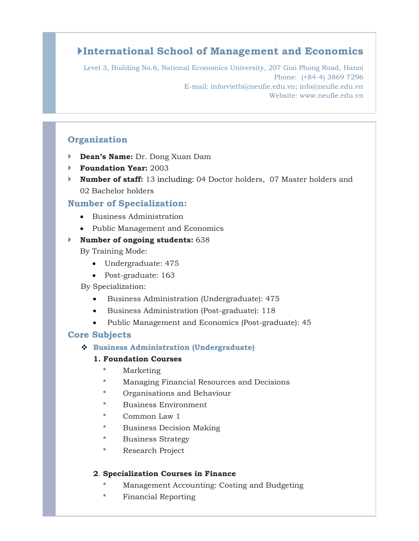# **International School of Management and Economics**

Level 3, Building No.6, National Economics University, 207 Giai Phong Road, Hanoi Phone: (+84-4) 3869 7296 E-mail: inforvietbi@neufie.edu.vn; info@neufie.edu.vn Website: www.neufie.edu.vn

# **Organization**

- **Dean's Name:** Dr. Dong Xuan Dam
- **Foundation Year:** 2003
- **Number of staff:** 13 including: 04 Doctor holders, 07 Master holders and 02 Bachelor holders

# **Number of Specialization:**

- Business Administration
- Public Management and Economics

#### **Number of ongoing students:** 638

By Training Mode:

- Undergraduate: 475
- Post-graduate: 163

#### By Specialization:

- Business Administration (Undergraduate): 475
- Business Administration (Post-graduate): 118
- Public Management and Economics (Post-graduate): 45

## **Core Subjects**

#### **Business Administration (Undergraduate)**

#### **1. Foundation Courses**

- **Marketing**
- Managing Financial Resources and Decisions
- Organisations and Behaviour
- Business Environment
- Common Law 1
- \* Business Decision Making
- \* Business Strategy
- \* Research Project

## **2**. **Specialization Courses in Finance**

- \* Management Accounting: Costing and Budgeting
- \* Financial Reporting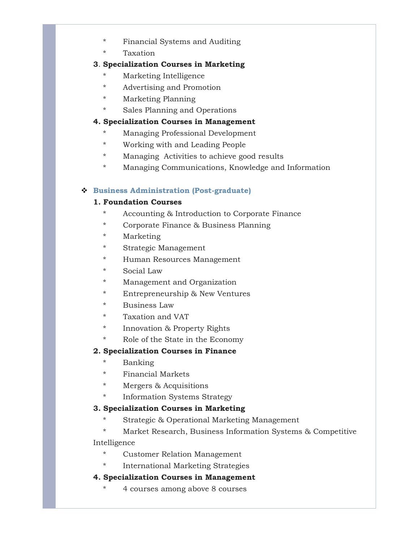- \* Financial Systems and Auditing
- \* Taxation

## **3**. **Specialization Courses in Marketing**

- \* Marketing Intelligence
- Advertising and Promotion
- **Marketing Planning**
- \* Sales Planning and Operations

## **4. Specialization Courses in Management**

- Managing Professional Development
- \* Working with and Leading People
- \* Managing Activities to achieve good results
- \* Managing Communications, Knowledge and Information

## **Business Administration (Post-graduate)**

# **1. Foundation Courses**

- \* Accounting & Introduction to Corporate Finance
- Corporate Finance & Business Planning
- **Marketing**
- Strategic Management
- Human Resources Management
- Social Law
- Management and Organization
- Entrepreneurship & New Ventures
- Business Law
- Taxation and VAT
- \* Innovation & Property Rights
- \* Role of the State in the Economy

# **2. Specialization Courses in Finance**

- \* Banking
- \* Financial Markets
- Mergers & Acquisitions
- Information Systems Strategy

## **3. Specialization Courses in Marketing**

- \* Strategic & Operational Marketing Management
- \* Market Research, Business Information Systems & Competitive

## Intelligence

- \* Customer Relation Management
- \* International Marketing Strategies

## **4. Specialization Courses in Management**

4 courses among above 8 courses